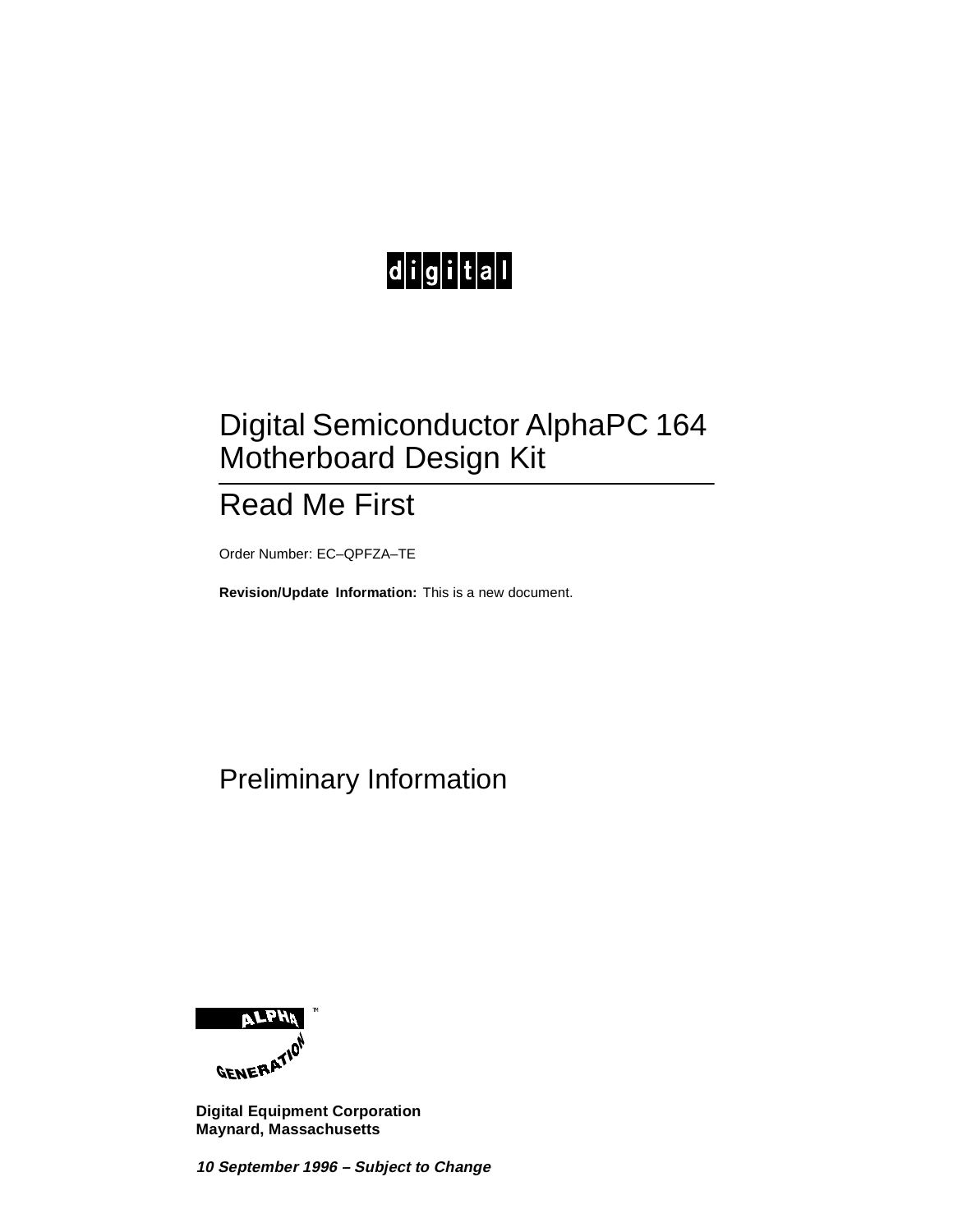# 

### Digital Semiconductor AlphaPC 164 Motherboard Design Kit

### Read Me First

Order Number: EC–QPFZA–TE

**Revision/Update Information:** This is a new document.

### Preliminary Information



**Digital Equipment Corporation Maynard, Massachusetts**

**10 September 1996 – Subject to Change**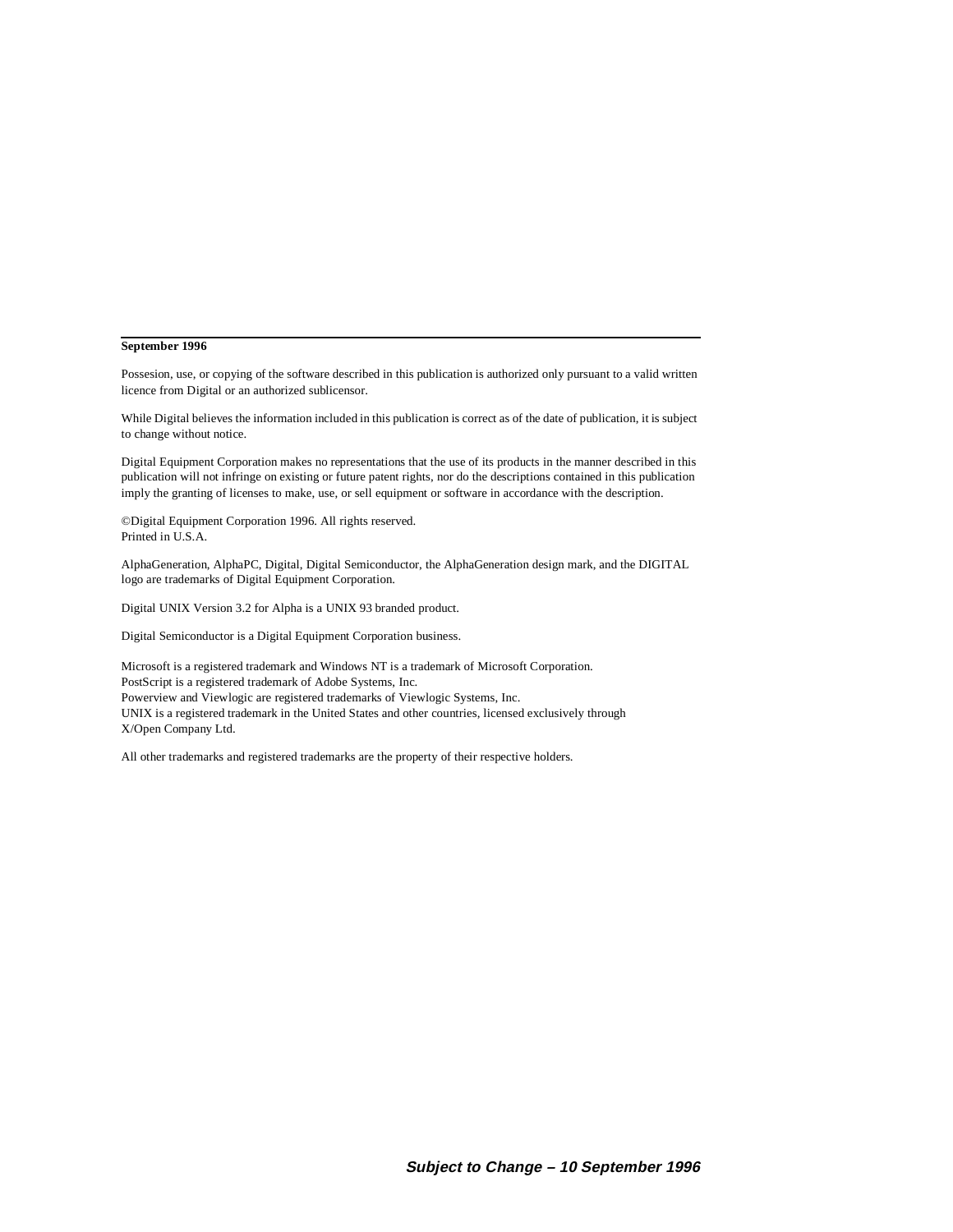#### **September 1996**

Possesion, use, or copying of the software described in this publication is authorized only pursuant to a valid written licence from Digital or an authorized sublicensor.

While Digital believes the information included in this publication is correct as of the date of publication, it is subject to change without notice.

Digital Equipment Corporation makes no representations that the use of its products in the manner described in this publication will not infringe on existing or future patent rights, nor do the descriptions contained in this publication imply the granting of licenses to make, use, or sell equipment or software in accordance with the description.

©Digital Equipment Corporation 1996. All rights reserved. Printed in U.S.A.

AlphaGeneration, AlphaPC, Digital, Digital Semiconductor, the AlphaGeneration design mark, and the DIGITAL logo are trademarks of Digital Equipment Corporation.

Digital UNIX Version 3.2 for Alpha is a UNIX 93 branded product.

Digital Semiconductor is a Digital Equipment Corporation business.

Microsoft is a registered trademark and Windows NT is a trademark of Microsoft Corporation. PostScript is a registered trademark of Adobe Systems, Inc. Powerview and Viewlogic are registered trademarks of Viewlogic Systems, Inc. UNIX is a registered trademark in the United States and other countries, licensed exclusively through X/Open Company Ltd.

All other trademarks and registered trademarks are the property of their respective holders.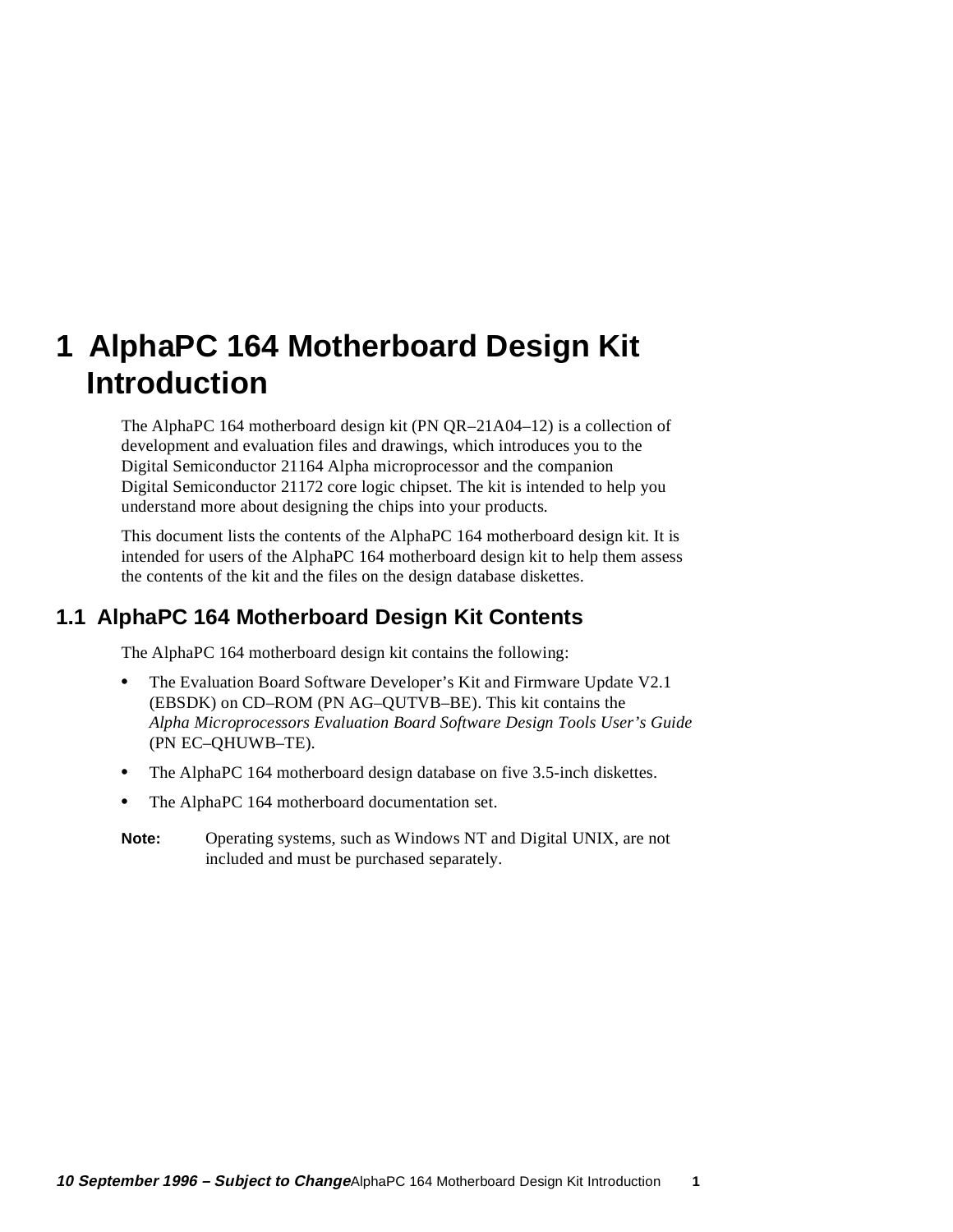## **1 AlphaPC 164 Motherboard Design Kit Introduction**

The AlphaPC 164 motherboard design kit (PN QR–21A04–12) is a collection of development and evaluation files and drawings, which introduces you to the Digital Semiconductor 21164 Alpha microprocessor and the companion Digital Semiconductor 21172 core logic chipset. The kit is intended to help you understand more about designing the chips into your products.

This document lists the contents of the AlphaPC 164 motherboard design kit. It is intended for users of the AlphaPC 164 motherboard design kit to help them assess the contents of the kit and the files on the design database diskettes.

### **1.1 AlphaPC 164 Motherboard Design Kit Contents**

The AlphaPC 164 motherboard design kit contains the following:

- The Evaluation Board Software Developer's Kit and Firmware Update V2.1 (EBSDK) on CD–ROM (PN AG–QUTVB–BE). This kit contains the *Alpha Microprocessors Evaluation Board Software Design Tools User's Guide* (PN EC–QHUWB–TE).
- **•** The AlphaPC 164 motherboard design database on five 3.5-inch diskettes.
- **•** The AlphaPC 164 motherboard documentation set.
- **Note:** Operating systems, such as Windows NT and Digital UNIX, are not included and must be purchased separately.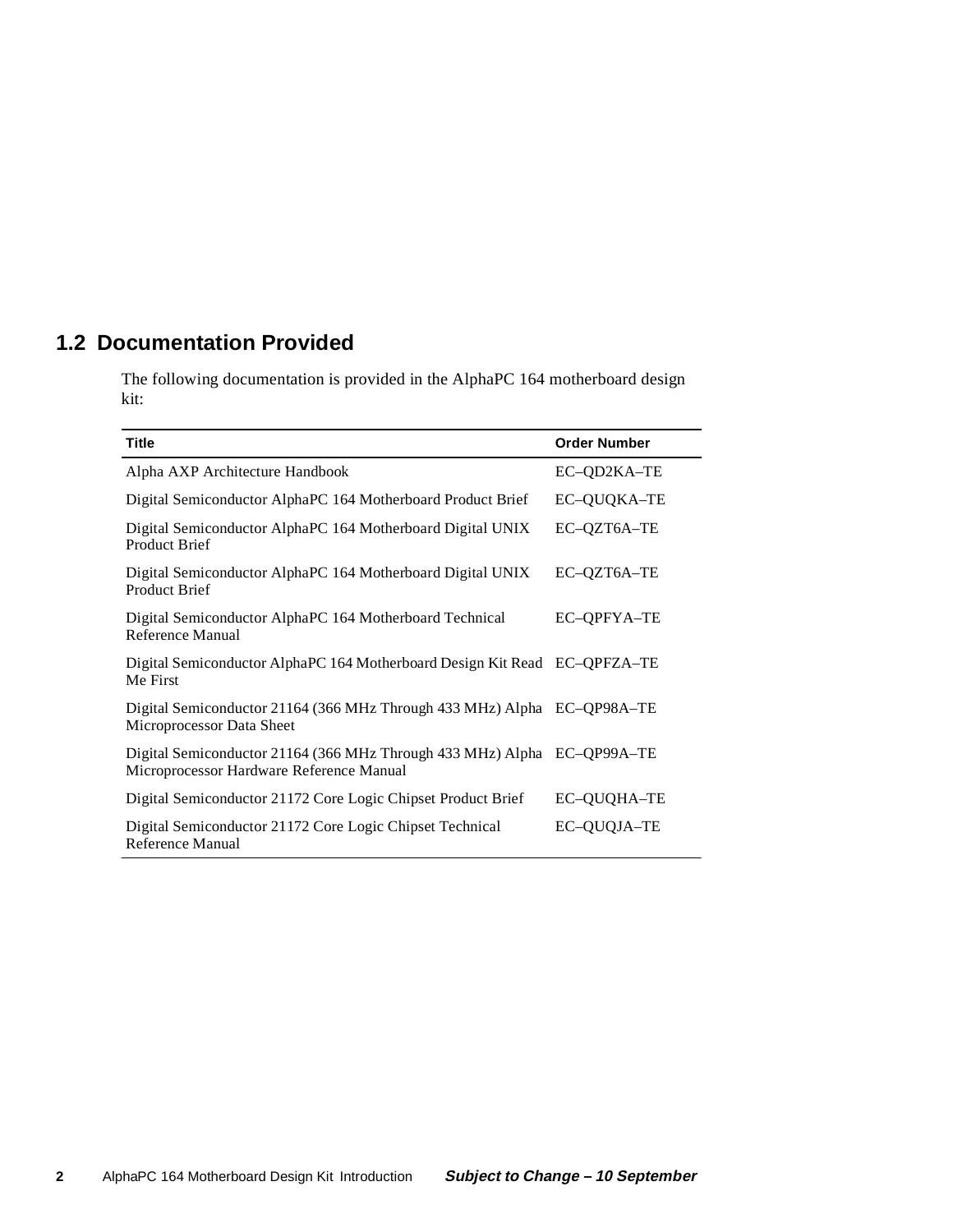### **1.2 Documentation Provided**

The following documentation is provided in the AlphaPC 164 motherboard design kit:

| <b>Title</b>                                                                                                        | <b>Order Number</b> |
|---------------------------------------------------------------------------------------------------------------------|---------------------|
| Alpha AXP Architecture Handbook                                                                                     | EC-QD2KA-TE         |
| Digital Semiconductor AlphaPC 164 Motherboard Product Brief                                                         | EC-QUQKA-TE         |
| Digital Semiconductor AlphaPC 164 Motherboard Digital UNIX<br><b>Product Brief</b>                                  | EC-QZT6A-TE         |
| Digital Semiconductor AlphaPC 164 Motherboard Digital UNIX<br>Product Brief                                         | EC-QZT6A-TE         |
| Digital Semiconductor AlphaPC 164 Motherboard Technical<br>Reference Manual                                         | EC-OPFYA-TE         |
| Digital Semiconductor AlphaPC 164 Motherboard Design Kit Read EC-QPFZA-TE<br>Me First                               |                     |
| Digital Semiconductor 21164 (366 MHz Through 433 MHz) Alpha EC-QP98A-TE<br>Microprocessor Data Sheet                |                     |
| Digital Semiconductor 21164 (366 MHz Through 433 MHz) Alpha EC-QP99A-TE<br>Microprocessor Hardware Reference Manual |                     |
| Digital Semiconductor 21172 Core Logic Chipset Product Brief                                                        | EC-QUQHA-TE         |
| Digital Semiconductor 21172 Core Logic Chipset Technical<br>Reference Manual                                        | EC-QUQJA-TE         |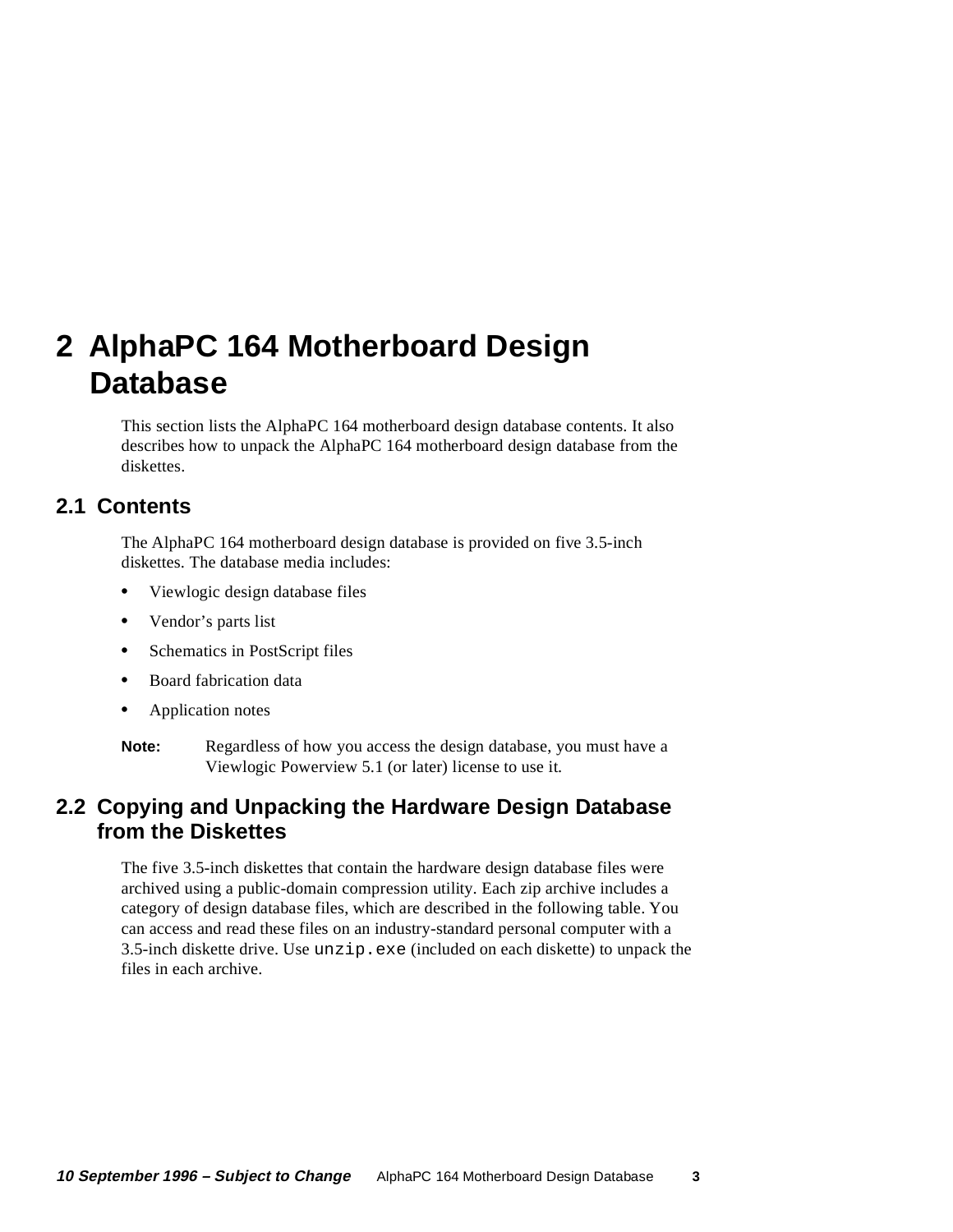## **2 AlphaPC 164 Motherboard Design Database**

This section lists the AlphaPC 164 motherboard design database contents. It also describes how to unpack the AlphaPC 164 motherboard design database from the diskettes.

#### **2.1 Contents**

The AlphaPC 164 motherboard design database is provided on five 3.5-inch diskettes. The database media includes:

- **•** Viewlogic design database files
- **•** Vendor's parts list
- **•** Schematics in PostScript files
- **•** Board fabrication data
- **•** Application notes
- **Note:** Regardless of how you access the design database, you must have a Viewlogic Powerview 5.1 (or later) license to use it.

#### **2.2 Copying and Unpacking the Hardware Design Database from the Diskettes**

The five 3.5-inch diskettes that contain the hardware design database files were archived using a public-domain compression utility. Each zip archive includes a category of design database files, which are described in the following table. You can access and read these files on an industry-standard personal computer with a 3.5-inch diskette drive. Use  $unzip$ ,  $exe$  (included on each diskette) to unpack the files in each archive.